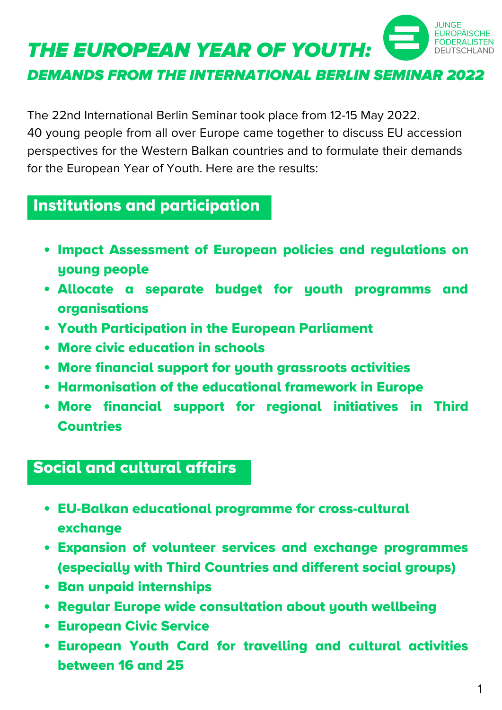

DEMANDS FROM THE INTERNATIONAL BERLIN SEMINAR 2022

The 22nd International Berlin Seminar took place from 12-15 May 2022. 40 young people from all over Europe came together to discuss EU accession perspectives for the Western Balkan countries and to formulate their demands for the European Year of Youth. Here are the results:

## Institutions and participation

- Impact Assessment of European policies and regulations on young people
- Allocate a separate budget for youth programms and organisations
- Youth Participation in the European Parliament
- More civic education in schools
- More financial support for youth grassroots activities
- Harmonisation of the educational framework in Europe
- More financial support for regional initiatives in Third **Countries**

## Social and cultural affairs

- EU-Balkan educational programme for cross-cultural exchange
- Expansion of volunteer services and exchange programmes (especially with Third Countries and different social groups)
- Ban unpaid internships
- Regular Europe wide consultation about youth wellbeing
- European Civic Service
- European Youth Card for travelling and cultural activities between 16 and 25